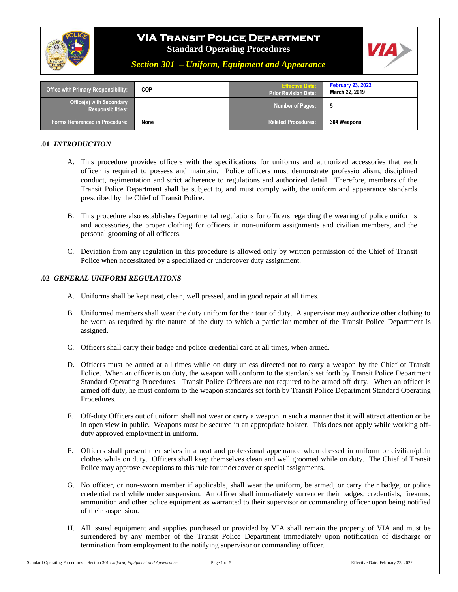

# **VIA Transit Police Department**

**Standard Operating Procedures**



### *Section 301 – Uniform, Equipment and Appearance*

| <b>Office with Primary Responsibility:</b>    | <b>COP</b> | <b>Effective Date:</b><br>l Prior Revision Date: <sup>\</sup> | <b>February 23, 2022</b><br>March 22, 2019 |
|-----------------------------------------------|------------|---------------------------------------------------------------|--------------------------------------------|
| Office(s) with Secondary<br>Responsibilities: |            | <b>Number of Pages:</b>                                       |                                            |
| <b>Forms Referenced in Procedure:</b>         | None       | <b>Related Procedures:</b>                                    | 304 Weapons                                |

#### **.01** *INTRODUCTION*

- A. This procedure provides officers with the specifications for uniforms and authorized accessories that each officer is required to possess and maintain. Police officers must demonstrate professionalism, disciplined conduct, regimentation and strict adherence to regulations and authorized detail. Therefore, members of the Transit Police Department shall be subject to, and must comply with, the uniform and appearance standards prescribed by the Chief of Transit Police.
- B. This procedure also establishes Departmental regulations for officers regarding the wearing of police uniforms and accessories, the proper clothing for officers in non-uniform assignments and civilian members, and the personal grooming of all officers.
- C. Deviation from any regulation in this procedure is allowed only by written permission of the Chief of Transit Police when necessitated by a specialized or undercover duty assignment.

#### **.02** *GENERAL UNIFORM REGULATIONS*

- A. Uniforms shall be kept neat, clean, well pressed, and in good repair at all times.
- B. Uniformed members shall wear the duty uniform for their tour of duty. A supervisor may authorize other clothing to be worn as required by the nature of the duty to which a particular member of the Transit Police Department is assigned.
- C. Officers shall carry their badge and police credential card at all times, when armed.
- D. Officers must be armed at all times while on duty unless directed not to carry a weapon by the Chief of Transit Police. When an officer is on duty, the weapon will conform to the standards set forth by Transit Police Department Standard Operating Procedures. Transit Police Officers are not required to be armed off duty. When an officer is armed off duty, he must conform to the weapon standards set forth by Transit Police Department Standard Operating Procedures.
- E. Off-duty Officers out of uniform shall not wear or carry a weapon in such a manner that it will attract attention or be in open view in public. Weapons must be secured in an appropriate holster. This does not apply while working offduty approved employment in uniform.
- F. Officers shall present themselves in a neat and professional appearance when dressed in uniform or civilian/plain clothes while on duty. Officers shall keep themselves clean and well groomed while on duty. The Chief of Transit Police may approve exceptions to this rule for undercover or special assignments.
- G. No officer, or non-sworn member if applicable, shall wear the uniform, be armed, or carry their badge, or police credential card while under suspension. An officer shall immediately surrender their badges; credentials, firearms, ammunition and other police equipment as warranted to their supervisor or commanding officer upon being notified of their suspension.
- H. All issued equipment and supplies purchased or provided by VIA shall remain the property of VIA and must be surrendered by any member of the Transit Police Department immediately upon notification of discharge or termination from employment to the notifying supervisor or commanding officer.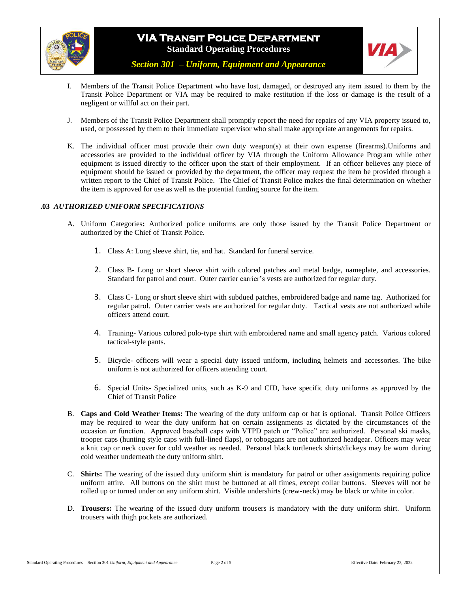



*Section 301 – Uniform, Equipment and Appearance*

- I. Members of the Transit Police Department who have lost, damaged, or destroyed any item issued to them by the Transit Police Department or VIA may be required to make restitution if the loss or damage is the result of a negligent or willful act on their part.
- J. Members of the Transit Police Department shall promptly report the need for repairs of any VIA property issued to, used, or possessed by them to their immediate supervisor who shall make appropriate arrangements for repairs.
- K. The individual officer must provide their own duty weapon(s) at their own expense (firearms).Uniforms and accessories are provided to the individual officer by VIA through the Uniform Allowance Program while other equipment is issued directly to the officer upon the start of their employment. If an officer believes any piece of equipment should be issued or provided by the department, the officer may request the item be provided through a written report to the Chief of Transit Police. The Chief of Transit Police makes the final determination on whether the item is approved for use as well as the potential funding source for the item.

#### **.03** *AUTHORIZED UNIFORM SPECIFICATIONS*

- A. Uniform Categories**:** Authorized police uniforms are only those issued by the Transit Police Department or authorized by the Chief of Transit Police.
	- 1. Class A: Long sleeve shirt, tie, and hat. Standard for funeral service.
	- 2. Class B- Long or short sleeve shirt with colored patches and metal badge, nameplate, and accessories. Standard for patrol and court. Outer carrier carrier's vests are authorized for regular duty.
	- 3. Class C- Long or short sleeve shirt with subdued patches, embroidered badge and name tag. Authorized for regular patrol. Outer carrier vests are authorized for regular duty. Tactical vests are not authorized while officers attend court.
	- 4. Training- Various colored polo-type shirt with embroidered name and small agency patch. Various colored tactical-style pants.
	- 5. Bicycle- officers will wear a special duty issued uniform, including helmets and accessories. The bike uniform is not authorized for officers attending court.
	- 6. Special Units- Specialized units, such as K-9 and CID, have specific duty uniforms as approved by the Chief of Transit Police
- B. **Caps and Cold Weather Items:** The wearing of the duty uniform cap or hat is optional. Transit Police Officers may be required to wear the duty uniform hat on certain assignments as dictated by the circumstances of the occasion or function. Approved baseball caps with VTPD patch or "Police" are authorized. Personal ski masks, trooper caps (hunting style caps with full-lined flaps), or toboggans are not authorized headgear. Officers may wear a knit cap or neck cover for cold weather as needed. Personal black turtleneck shirts/dickeys may be worn during cold weather underneath the duty uniform shirt.
- C. **Shirts:** The wearing of the issued duty uniform shirt is mandatory for patrol or other assignments requiring police uniform attire. All buttons on the shirt must be buttoned at all times, except collar buttons. Sleeves will not be rolled up or turned under on any uniform shirt. Visible undershirts (crew-neck) may be black or white in color.
- D. **Trousers:** The wearing of the issued duty uniform trousers is mandatory with the duty uniform shirt. Uniform trousers with thigh pockets are authorized.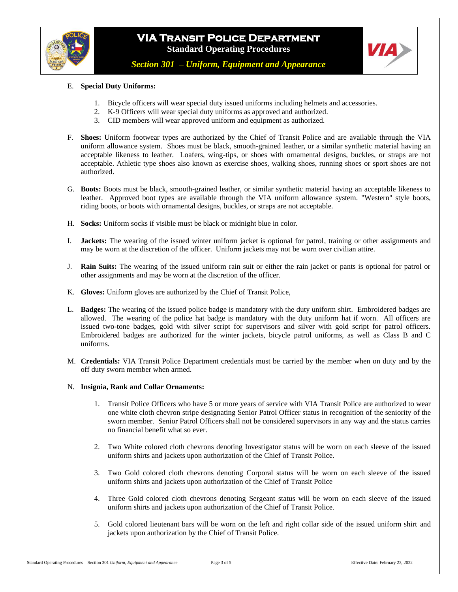



*Section 301 – Uniform, Equipment and Appearance*

#### E. **Special Duty Uniforms:**

- 1. Bicycle officers will wear special duty issued uniforms including helmets and accessories.
- 2. K-9 Officers will wear special duty uniforms as approved and authorized.
- 3. CID members will wear approved uniform and equipment as authorized.
- F. **Shoes:** Uniform footwear types are authorized by the Chief of Transit Police and are available through the VIA uniform allowance system. Shoes must be black, smooth-grained leather, or a similar synthetic material having an acceptable likeness to leather. Loafers, wing-tips, or shoes with ornamental designs, buckles, or straps are not acceptable. Athletic type shoes also known as exercise shoes, walking shoes, running shoes or sport shoes are not authorized.
- G. **Boots:** Boots must be black, smooth-grained leather, or similar synthetic material having an acceptable likeness to leather. Approved boot types are available through the VIA uniform allowance system. "Western" style boots, riding boots, or boots with ornamental designs, buckles, or straps are not acceptable.
- H. **Socks:** Uniform socks if visible must be black or midnight blue in color.
- I. **Jackets:** The wearing of the issued winter uniform jacket is optional for patrol, training or other assignments and may be worn at the discretion of the officer. Uniform jackets may not be worn over civilian attire.
- J. **Rain Suits:** The wearing of the issued uniform rain suit or either the rain jacket or pants is optional for patrol or other assignments and may be worn at the discretion of the officer.
- K. **Gloves:** Uniform gloves are authorized by the Chief of Transit Police,
- L. **Badges:** The wearing of the issued police badge is mandatory with the duty uniform shirt. Embroidered badges are allowed. The wearing of the police hat badge is mandatory with the duty uniform hat if worn. All officers are issued two-tone badges, gold with silver script for supervisors and silver with gold script for patrol officers. Embroidered badges are authorized for the winter jackets, bicycle patrol uniforms, as well as Class B and C uniforms.
- M. **Credentials:** VIA Transit Police Department credentials must be carried by the member when on duty and by the off duty sworn member when armed.

#### N. **Insignia, Rank and Collar Ornaments:**

- 1. Transit Police Officers who have 5 or more years of service with VIA Transit Police are authorized to wear one white cloth chevron stripe designating Senior Patrol Officer status in recognition of the seniority of the sworn member. Senior Patrol Officers shall not be considered supervisors in any way and the status carries no financial benefit what so ever.
- 2. Two White colored cloth chevrons denoting Investigator status will be worn on each sleeve of the issued uniform shirts and jackets upon authorization of the Chief of Transit Police.
- 3. Two Gold colored cloth chevrons denoting Corporal status will be worn on each sleeve of the issued uniform shirts and jackets upon authorization of the Chief of Transit Police
- 4. Three Gold colored cloth chevrons denoting Sergeant status will be worn on each sleeve of the issued uniform shirts and jackets upon authorization of the Chief of Transit Police.
- 5. Gold colored lieutenant bars will be worn on the left and right collar side of the issued uniform shirt and jackets upon authorization by the Chief of Transit Police.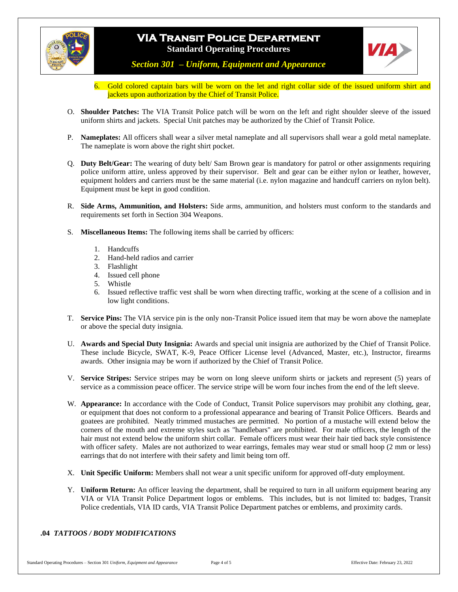



*Section 301 – Uniform, Equipment and Appearance*

- 6. Gold colored captain bars will be worn on the let and right collar side of the issued uniform shirt and jackets upon authorization by the Chief of Transit Police.
- O. **Shoulder Patches:** The VIA Transit Police patch will be worn on the left and right shoulder sleeve of the issued uniform shirts and jackets. Special Unit patches may be authorized by the Chief of Transit Police.
- P. **Nameplates:** All officers shall wear a silver metal nameplate and all supervisors shall wear a gold metal nameplate. The nameplate is worn above the right shirt pocket.
- Q. **Duty Belt/Gear:** The wearing of duty belt/ Sam Brown gear is mandatory for patrol or other assignments requiring police uniform attire, unless approved by their supervisor. Belt and gear can be either nylon or leather, however, equipment holders and carriers must be the same material (i.e. nylon magazine and handcuff carriers on nylon belt). Equipment must be kept in good condition.
- R. **Side Arms, Ammunition, and Holsters:** Side arms, ammunition, and holsters must conform to the standards and requirements set forth in Section 304 Weapons.
- S. **Miscellaneous Items:** The following items shall be carried by officers:
	- 1. Handcuffs
	- 2. Hand-held radios and carrier
	- 3. Flashlight
	- 4. Issued cell phone
	- 5. Whistle
	- 6. Issued reflective traffic vest shall be worn when directing traffic, working at the scene of a collision and in low light conditions.
- T. **Service Pins:** The VIA service pin is the only non-Transit Police issued item that may be worn above the nameplate or above the special duty insignia.
- U. **Awards and Special Duty Insignia:** Awards and special unit insignia are authorized by the Chief of Transit Police. These include Bicycle, SWAT, K-9, Peace Officer License level (Advanced, Master, etc.), Instructor, firearms awards. Other insignia may be worn if authorized by the Chief of Transit Police.
- V. **Service Stripes:** Service stripes may be worn on long sleeve uniform shirts or jackets and represent (5) years of service as a commission peace officer. The service stripe will be worn four inches from the end of the left sleeve.
- W. **Appearance:** In accordance with the Code of Conduct, Transit Police supervisors may prohibit any clothing, gear, or equipment that does not conform to a professional appearance and bearing of Transit Police Officers. Beards and goatees are prohibited. Neatly trimmed mustaches are permitted. No portion of a mustache will extend below the corners of the mouth and extreme styles such as "handlebars" are prohibited. For male officers, the length of the hair must not extend below the uniform shirt collar. Female officers must wear their hair tied back style consistence with officer safety. Males are not authorized to wear earrings, females may wear stud or small hoop (2 mm or less) earrings that do not interfere with their safety and limit being torn off.
- X. **Unit Specific Uniform:** Members shall not wear a unit specific uniform for approved off-duty employment.
- Y. **Uniform Return:** An officer leaving the department, shall be required to turn in all uniform equipment bearing any VIA or VIA Transit Police Department logos or emblems. This includes, but is not limited to: badges, Transit Police credentials, VIA ID cards, VIA Transit Police Department patches or emblems, and proximity cards.

#### **.04** *TATTOOS / BODY MODIFICATIONS*